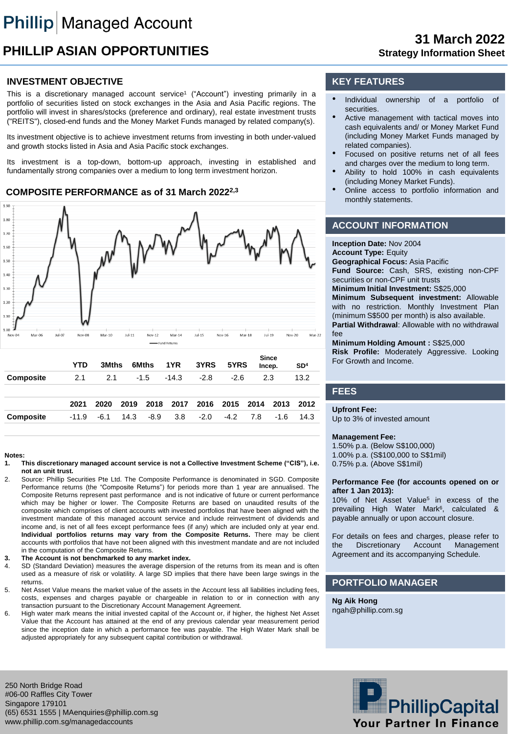# **PHILLIP ASIAN OPPORTUNITIES**

# **31 March 2022 Strategy Information Sheet**

## **INVESTMENT OBJECTIVE**

This is a discretionary managed account service<sup>1</sup> ("Account") investing primarily in a portfolio of securities listed on stock exchanges in the Asia and Asia Pacific regions. The portfolio will invest in shares/stocks (preference and ordinary), real estate investment trusts ("REITS"), closed-end funds and the Money Market Funds managed by related company(s).

Its investment objective is to achieve investment returns from investing in both under-valued and growth stocks listed in Asia and Asia Pacific stock exchanges.

Its investment is a top-down, bottom-up approach, investing in established and fundamentally strong companies over a medium to long term investment horizon.

## **COMPOSITE PERFORMANCE as of 31 March 20222,3**



#### **Notes:**

- **1. This discretionary managed account service is not a Collective Investment Scheme ("CIS"), i.e. not an unit trust.**
- 2. Source: Phillip Securities Pte Ltd. The Composite Performance is denominated in SGD. Composite Performance returns (the "Composite Returns") for periods more than 1 year are annualised. The Composite Returns represent past performance and is not indicative of future or current performance which may be higher or lower. The Composite Returns are based on unaudited results of the composite which comprises of client accounts with invested portfolios that have been aligned with the investment mandate of this managed account service and include reinvestment of dividends and income and, is net of all fees except performance fees (if any) which are included only at year end. **Individual portfolios returns may vary from the Composite Returns.** There may be client accounts with portfolios that have not been aligned with this investment mandate and are not included in the computation of the Composite Returns.
- **3. The Account is not benchmarked to any market index.**
- 4. SD (Standard Deviation) measures the average dispersion of the returns from its mean and is often used as a measure of risk or volatility. A large SD implies that there have been large swings in the returns.
- 5. Net Asset Value means the market value of the assets in the Account less all liabilities including fees, costs, expenses and charges payable or chargeable in relation to or in connection with any transaction pursuant to the Discretionary Account Management Agreement.
- 6. High water mark means the initial invested capital of the Account or, if higher, the highest Net Asset Value that the Account has attained at the end of any previous calendar year measurement period since the inception date in which a performance fee was payable. The High Water Mark shall be adjusted appropriately for any subsequent capital contribution or withdrawal.

## **KEY FEATURES**

- Individual ownership of a portfolio of securities.
- Active management with tactical moves into cash equivalents and/ or Money Market Fund (including Money Market Funds managed by related companies).
- Focused on positive returns net of all fees and charges over the medium to long term.
- Ability to hold 100% in cash equivalents (including Money Market Funds).
- Online access to portfolio information and monthly statements.

## **ACCOUNT INFORMATION**

**Inception Date:** Nov 2004 **Account Type:** Equity **Geographical Focus:** Asia Pacific **Fund Source:** Cash, SRS, existing non-CPF securities or non-CPF unit trusts **Minimum Initial Investment:** S\$25,000 **Minimum Subsequent investment:** Allowable with no restriction. Monthly Investment Plan (minimum S\$500 per month) is also available. **Partial Withdrawal**: Allowable with no withdrawal fee

**Minimum Holding Amount :** S\$25,000 **Risk Profile:** Moderately Aggressive. Looking For Growth and Income.

### **FEES**

#### **Upfront Fee:**

Up to 3% of invested amount

#### **Management Fee:**

1.50% p.a. (Below S\$100,000) 1.00% p.a. (S\$100,000 to S\$1mil) 0.75% p.a. (Above S\$1mil)

#### **Performance Fee (for accounts opened on or after 1 Jan 2013):**

10% of Net Asset Value<sup>5</sup> in excess of the prevailing High Water Mark<sup>6</sup>, calculated & payable annually or upon account closure.

For details on fees and charges, please refer to the Discretionary Account Management Agreement and its accompanying Schedule.

## **PORTFOLIO MANAGER**

**Ng Aik Hong** ngah@phillip.com.sg